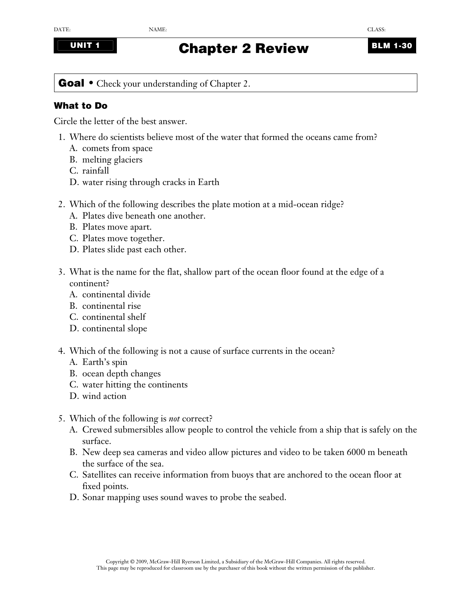## **UNIT 1 BLM 1-30 Chapter 2 Review BLM 1-30**

**Goal** • Check your understanding of Chapter 2.

## **What to Do**

Circle the letter of the best answer.

- 1. Where do scientists believe most of the water that formed the oceans came from?
	- A. comets from space
	- B. melting glaciers
	- C. rainfall
	- D. water rising through cracks in Earth
- 2. Which of the following describes the plate motion at a mid-ocean ridge?
	- A. Plates dive beneath one another.
	- B. Plates move apart.
	- C. Plates move together.
	- D. Plates slide past each other.
- 3. What is the name for the flat, shallow part of the ocean floor found at the edge of a continent?
	- A. continental divide
	- B. continental rise
	- C. continental shelf
	- D. continental slope
- 4. Which of the following is not a cause of surface currents in the ocean?
	- A. Earth's spin
	- B. ocean depth changes
	- C. water hitting the continents
	- D. wind action
- 5. Which of the following is *not* correct?
	- A. Crewed submersibles allow people to control the vehicle from a ship that is safely on the surface.
	- B. New deep sea cameras and video allow pictures and video to be taken 6000 m beneath the surface of the sea.
	- C. Satellites can receive information from buoys that are anchored to the ocean floor at fixed points.
	- D. Sonar mapping uses sound waves to probe the seabed.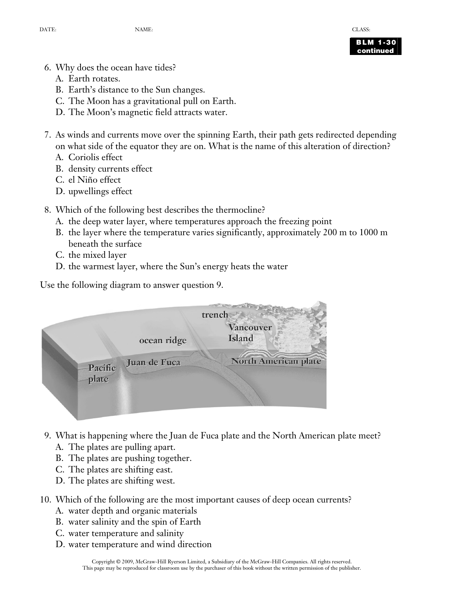

**BLM 1-30 continued** 

- 6. Why does the ocean have tides?
	- A. Earth rotates.
	- B. Earth's distance to the Sun changes.
	- C. The Moon has a gravitational pull on Earth.
	- D. The Moon's magnetic field attracts water.
- 7. As winds and currents move over the spinning Earth, their path gets redirected depending on what side of the equator they are on. What is the name of this alteration of direction?
	- A. Coriolis effect
	- B. density currents effect
	- C. el Niño effect
	- D. upwellings effect
- 8. Which of the following best describes the thermocline?
	- A. the deep water layer, where temperatures approach the freezing point
	- B. the layer where the temperature varies significantly, approximately 200 m to 1000 m beneath the surface
	- C. the mixed layer
	- D. the warmest layer, where the Sun's energy heats the water

Use the following diagram to answer question 9.



- 9. What is happening where the Juan de Fuca plate and the North American plate meet?
	- A. The plates are pulling apart.
	- B. The plates are pushing together.
	- C. The plates are shifting east.
	- D. The plates are shifting west.
- 10. Which of the following are the most important causes of deep ocean currents?
	- A. water depth and organic materials
	- B. water salinity and the spin of Earth
	- C. water temperature and salinity
	- D. water temperature and wind direction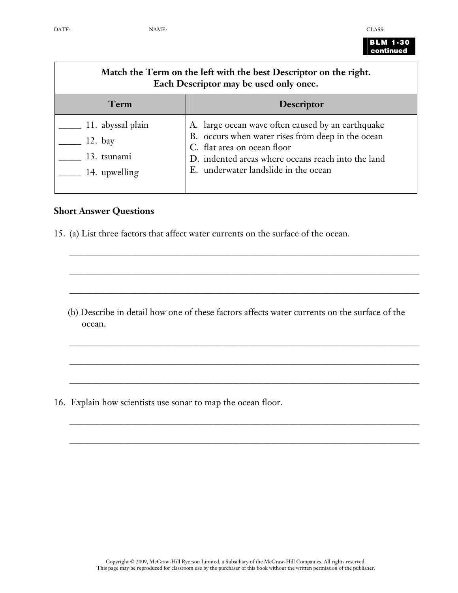

| <b>BLM 1-30</b> |  |
|-----------------|--|
| continued       |  |

| Match the Term on the left with the best Descriptor on the right.<br>Each Descriptor may be used only once. |                   |
|-------------------------------------------------------------------------------------------------------------|-------------------|
| Term                                                                                                        | <b>Descriptor</b> |

| $\sim$ 11. abyssal plain | A. large ocean wave often caused by an earthquake                                |
|--------------------------|----------------------------------------------------------------------------------|
| 12. bay                  | B. occurs when water rises from deep in the ocean<br>C. flat area on ocean floor |
| 13. tsunami              | D. indented areas where oceans reach into the land                               |
| 14. upwelling            | E. underwater landslide in the ocean                                             |
|                          |                                                                                  |

## **Short Answer Questions**

15. (a) List three factors that affect water currents on the surface of the ocean.

(b) Describe in detail how one of these factors affects water currents on the surface of the ocean.

\_\_\_\_\_\_\_\_\_\_\_\_\_\_\_\_\_\_\_\_\_\_\_\_\_\_\_\_\_\_\_\_\_\_\_\_\_\_\_\_\_\_\_\_\_\_\_\_\_\_\_\_\_\_\_\_\_\_\_\_\_\_\_\_\_\_\_\_\_\_\_\_\_\_\_\_\_\_

\_\_\_\_\_\_\_\_\_\_\_\_\_\_\_\_\_\_\_\_\_\_\_\_\_\_\_\_\_\_\_\_\_\_\_\_\_\_\_\_\_\_\_\_\_\_\_\_\_\_\_\_\_\_\_\_\_\_\_\_\_\_\_\_\_\_\_\_\_\_\_\_\_\_\_\_\_\_

\_\_\_\_\_\_\_\_\_\_\_\_\_\_\_\_\_\_\_\_\_\_\_\_\_\_\_\_\_\_\_\_\_\_\_\_\_\_\_\_\_\_\_\_\_\_\_\_\_\_\_\_\_\_\_\_\_\_\_\_\_\_\_\_\_\_\_\_\_\_\_\_\_\_\_\_\_\_

\_\_\_\_\_\_\_\_\_\_\_\_\_\_\_\_\_\_\_\_\_\_\_\_\_\_\_\_\_\_\_\_\_\_\_\_\_\_\_\_\_\_\_\_\_\_\_\_\_\_\_\_\_\_\_\_\_\_\_\_\_\_\_\_\_\_\_\_\_\_\_\_\_\_\_\_\_\_

\_\_\_\_\_\_\_\_\_\_\_\_\_\_\_\_\_\_\_\_\_\_\_\_\_\_\_\_\_\_\_\_\_\_\_\_\_\_\_\_\_\_\_\_\_\_\_\_\_\_\_\_\_\_\_\_\_\_\_\_\_\_\_\_\_\_\_\_\_\_\_\_\_\_\_\_\_\_

\_\_\_\_\_\_\_\_\_\_\_\_\_\_\_\_\_\_\_\_\_\_\_\_\_\_\_\_\_\_\_\_\_\_\_\_\_\_\_\_\_\_\_\_\_\_\_\_\_\_\_\_\_\_\_\_\_\_\_\_\_\_\_\_\_\_\_\_\_\_\_\_\_\_\_\_\_\_

\_\_\_\_\_\_\_\_\_\_\_\_\_\_\_\_\_\_\_\_\_\_\_\_\_\_\_\_\_\_\_\_\_\_\_\_\_\_\_\_\_\_\_\_\_\_\_\_\_\_\_\_\_\_\_\_\_\_\_\_\_\_\_\_\_\_\_\_\_\_\_\_\_\_\_\_\_\_

\_\_\_\_\_\_\_\_\_\_\_\_\_\_\_\_\_\_\_\_\_\_\_\_\_\_\_\_\_\_\_\_\_\_\_\_\_\_\_\_\_\_\_\_\_\_\_\_\_\_\_\_\_\_\_\_\_\_\_\_\_\_\_\_\_\_\_\_\_\_\_\_\_\_\_\_\_\_

16. Explain how scientists use sonar to map the ocean floor.